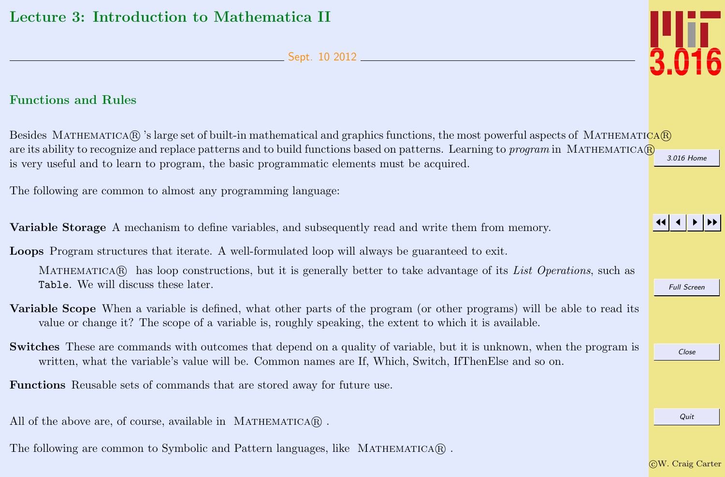Sept. 10 2012

## <span id="page-0-0"></span>Functions and Rules

[3.016 Home](http://pruffle.mit.edu/3.016-2012/) Besides MATHEMATICA(R) 's large set of built-in mathematical and graphics functions, the most powerful aspects of MATHEMATICA(R) are its ability to recognize and replace patterns and to build functions based on patterns. Learning to *program* in MATHEMATICA $\circledR$ is very useful and to learn to program, the basic programmatic elements must be acquired.

The following are common to almost any programming language:

Variable Storage A mechanism to define variables, and subsequently read and write them from memory.

Loops Program structures that iterate. A well-formulated loop will always be guaranteed to exit.

MATHEMATICAR has loop constructions, but it is generally better to take advantage of its List Operations, such as Table. We will discuss these later.

- Variable Scope When a variable is defined, what other parts of the program (or other programs) will be able to read its value or change it? The scope of a variable is, roughly speaking, the extent to which it is available.
- Switches These are commands with outcomes that depend on a quality of variable, but it is unknown, when the program is written, what the variable's value will be. Common names are If, Which, Switch, IfThenElse and so on.

Functions Reusable sets of commands that are stored away for future use.

All of the above are, of course, available in MATHEMATICA $\Omega$ .

The following are common to Symbolic and Pattern languages, like  $M$ ATHEMATICA $\mathbb{R}$ .



JJ J I II

Full Screen

Close

Quit

c W. Craig Carter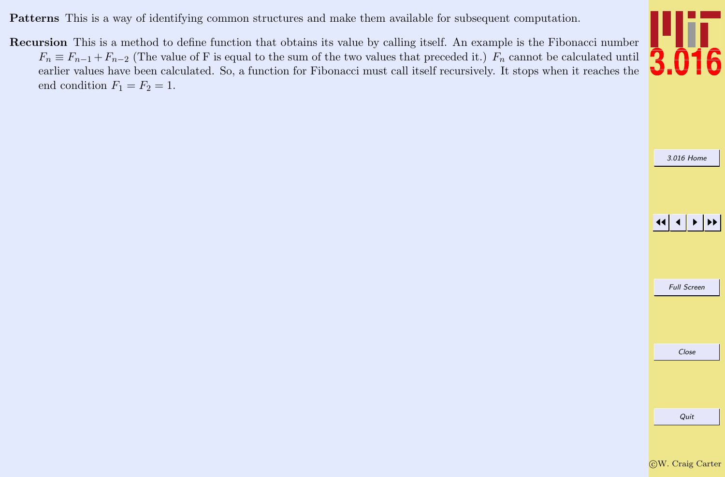Patterns This is a way of identifying common structures and make them available for subsequent computation.

Recursion This is a method to define function that obtains its value by calling itself. An example is the Fibonacci number  $F_n \equiv F_{n-1} + F_{n-2}$  (The value of F is equal to the sum of the two values that preceded it.)  $F_n$  cannot be calculated until earlier values have been calculated. So, a function for Fibonacci must call itself recursively. It stops when it reaches the end condition  $F_1 = F_2 = 1$ .



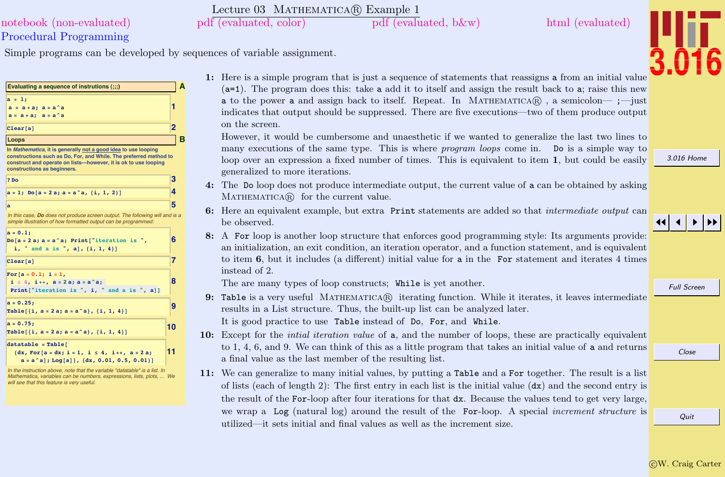## Procedural Programming [notebook \(non-evaluated\)](http://pruffle.mit.edu/3.016-2012/Notebooks/L03/Lecture-03.nb) [pdf \(evaluated, color\)](http://pruffle.mit.edu/3.016-2012/pdf/L03/Lecture-03-1-COL.pdf) [pdf \(evaluated, b&w\)](http://pruffle.mit.edu/3.016-2012/pdf/L03/Lecture-03-1-BW.pdf) [html \(evaluated\)](http://pruffle.mit.edu/3.016-2012/html/Lecture-03/HTMLLinks/index_1.html)

Simple programs can be developed by sequences of variable assignment.

| Evaluating a sequence of instrutions (::;)                                                                                                                                                                                              |    | A |
|-----------------------------------------------------------------------------------------------------------------------------------------------------------------------------------------------------------------------------------------|----|---|
| $a = 1;$<br>$a = a + a$ ; $a = a^a$<br>$a = a + a$ ; $a = a^a$                                                                                                                                                                          | 1  |   |
| Clear[a]                                                                                                                                                                                                                                | 2  |   |
| Loops                                                                                                                                                                                                                                   |    | в |
| In Mathematica, it is generally not a good idea to use looping<br>constructions such as Do, For, and While. The preferred method to<br>construct and operate on lists---however, it is ok to use looping<br>constructions as beginners. |    |   |
| 2 <sub>po</sub>                                                                                                                                                                                                                         | 3  |   |
| $a = 1$ ; Do[a = 2 a; a = a^a, {i, 1, 2}]                                                                                                                                                                                               | 4  |   |
| a                                                                                                                                                                                                                                       | 5  |   |
| In this case, Do does not produce screen output. The following will and is a<br>simple illustration of how formatted output can be programmed:                                                                                          |    |   |
| $a = 0.1;$<br>$Do[a = 2a; a = a^a; Print["iteration is",$<br>i, " and a is ", a], $\{i, 1, 4\}$ ]                                                                                                                                       | 6  |   |
| Clear[a]                                                                                                                                                                                                                                | 7  |   |
| $For[a = 0.1; i = 1,$<br>$i \leq 4$ , $i_{++}$ , $a = 2a$ ; $a = a^a$ ;<br>Print["iteration is ", i, " and a is ", a]]                                                                                                                  | 8  |   |
| $a = 0.25;$<br>Table $\{i, a = 2a; a = a^a\}, \{i, 1, 4\}\$                                                                                                                                                                             | 9  |   |
| $a = 0.75;$<br>Table [{i, a = 2 a; a = a^a}, {i, 1, 4}]                                                                                                                                                                                 | 10 |   |
| $datatable = Table [$<br>$\{dx, For[a = dx; i = 1, i \le 4, i++) a = 2a\}$<br>$a = a \land a$ ]; Log[a]}, {dx, 0.01, 0.5, 0.01}]                                                                                                        | 11 |   |

*In the instruction above, note that the variable "datatable" is a list. In* Mathematica, variables can be numbers, expressions, lists, plots, ... *will see that this feature is very useful.*

1: Here is a simple program that is just a sequence of statements that reassigns a from an initial value  $(a=1)$ . The program does this: take a add it to itself and assign the result back to a; raise this new a to the power a and assign back to itself. Repeat. In MATHEMATICA $\circledR$ , a semicolon—; - just indicates that output should be suppressed. There are five executions—two of them produce output on the screen.

However, it would be cumbersome and unaesthetic if we wanted to generalize the last two lines to many executions of the same type. This is where *program loops* come in. Do is a simple way to loop over an expression a fixed number of times. This is equivalent to item 1, but could be easily generalized to more iterations.

- 4: The Do loop does not produce intermediate output, the current value of a can be obtained by asking MATHEMATICA(R) for the current value.
- 6: Here an equivalent example, but extra Print statements are added so that intermediate output can be observed.
- 8: A For loop is another loop structure that enforces good programming style: Its arguments provide: an initialization, an exit condition, an iteration operator, and a function statement, and is equivalent to item 6, but it includes (a different) initial value for a in the For statement and iterates 4 times instead of 2.

The are many types of loop constructs; While is yet another.

Lecture 03 MATHEMATICA(R) Example 1

9: Table is a very useful MATHEMATICAR iterating function. While it iterates, it leaves intermediate results in a List structure. Thus, the built-up list can be analyzed later.

It is good practice to use Table instead of Do, For, and While.

- 10: Except for the *intial iteration value* of **a**, and the number of loops, these are practically equivalent to 1, 4, 6, and 9. We can think of this as a little program that takes an initial value of a and returns a final value as the last member of the resulting list.
- 11: We can generalize to many initial values, by putting a Table and a For together. The result is a list of lists (each of length 2): The first entry in each list is the initial value  $(dx)$  and the second entry is the result of the For-loop after four iterations for that dx. Because the values tend to get very large, we wrap a Log (natural log) around the result of the For-loop. A special increment structure is utilized—it sets initial and final values as well as the increment size.

[3.016 Home](http://pruffle.mit.edu/3.016-2012/)

Full Screen

JJ J I II

Quit

Close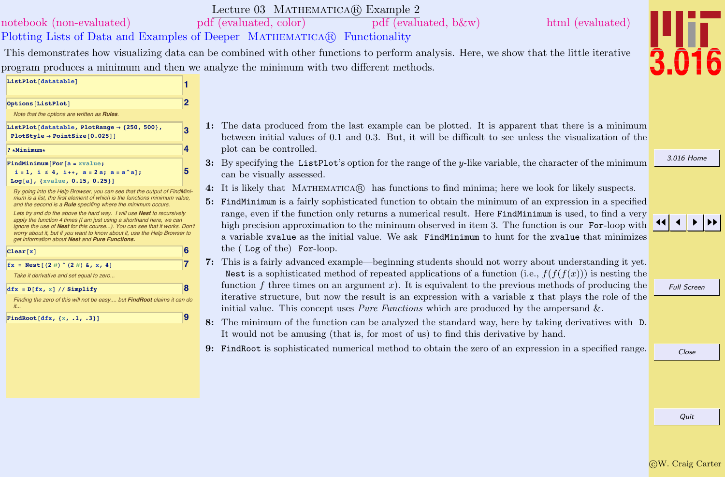Quit

# $ListPlot[datatable]$

- 1: The data produced from the last example can be plotted. It is apparent that there is a minimum between initial values of 0.1 and 0.3. But, it will be difficult to see unless the visualization of the plot can be controlled.
- 3: By specifying the List Plot's option for the range of the y-like variable, the character of the minimum can be visually assessed.
- 4: It is likely that Mathematica <sup>R</sup> has functions to find minima; here we look for likely suspects.
- 5: FindMinimum is a fairly sophisticated function to obtain the minimum of an expression in a specified range, even if the function only returns a numerical result. Here FindMinimum is used, to find a very high precision approximation to the minimum observed in item 3. The function is our **For-loop** with a variable xvalue as the initial value. We ask FindMinimum to hunt for the xvalue that minimizes the ( Log of the) For-loop.
- 7: This is a fairly advanced example—beginning students should not worry about understanding it yet. Nest is a sophisticated method of repeated applications of a function (i.e.,  $f(f(f(x)))$ ) is nesting the function f three times on an argument x). It is equivalent to the previous methods of producing the iterative structure, but now the result is an expression with a variable x that plays the role of the initial value. This concept uses *Pure Functions* which are produced by the ampersand  $\&$ .
- 8: The minimum of the function can be analyzed the standard way, here by taking derivatives with D. It would not be amusing (that is, for most of us) to find this derivative by hand.
- 9: FindRoot is sophisticated numerical method to obtain the zero of an expression in a specified range.

# [notebook \(non-evaluated\)](http://pruffle.mit.edu/3.016-2012/Notebooks/L03/Lecture-03.nb) [pdf \(evaluated, color\)](http://pruffle.mit.edu/3.016-2012/pdf/L03/Lecture-03-2-COL.pdf) [pdf \(evaluated, b&w\)](http://pruffle.mit.edu/3.016-2012/pdf/L03/Lecture-03-2-BW.pdf) [html \(evaluated\)](http://pruffle.mit.edu/3.016-2012/html/Lecture-03/HTMLLinks/index_2.html)

## Plotting Lists of Data and Examples of Deeper MATHEMATICA(R) Functionality

This demonstrates how visualizing data can be combined with other functions to perform analysis. Here, we show that the little iterative program produces a minimum and then we analyze the minimum with two different methods.

| Options[ListPlot]                                                                                                                                                                                                                                                                                                                                          | $\overline{\mathbf{2}}$ |                               |
|------------------------------------------------------------------------------------------------------------------------------------------------------------------------------------------------------------------------------------------------------------------------------------------------------------------------------------------------------------|-------------------------|-------------------------------|
| Note that the options are written as Rules.                                                                                                                                                                                                                                                                                                                |                         |                               |
| ListPlot[datatable, PlotRange $\rightarrow$ {250, 500},<br>$PlotStyle \rightarrow PointSize[0.025]]$                                                                                                                                                                                                                                                       | 3                       | 1                             |
| $? * Minimum*$                                                                                                                                                                                                                                                                                                                                             | 4                       |                               |
| $FindMinimum[For[a = xvalue;$<br>$i = 1$ , $i \le 4$ , $i_{++}$ , $a = 2a$ ; $a = a^a$ ];<br>Log[a], {xvalue, 0.15, 0.25}]                                                                                                                                                                                                                                 | 5                       | ć                             |
| By going into the Help Browser, you can see that the output of FindMini-<br>mum is a list, the first element of which is the functions minimum value,<br>and the second is a Rule specifing where the minimum occurs.                                                                                                                                      |                         | $\overline{\phantom{a}}$<br>ŀ |
| Lets try and do the above the hard way. I will use Nest to recursively<br>apply the function 4 times (I am just using a shorthand here, we can<br>ignore the use of Nest for this course). You can see that it works. Don't<br>worry about it, but if you want to know about it, use the Help Browser to<br>get information about Nest and Pure Functions. |                         |                               |
| Clear[x]                                                                                                                                                                                                                                                                                                                                                   | 6                       |                               |
| $fx = Nest[(2 \#)' (2 \#) & x, x, 4]$                                                                                                                                                                                                                                                                                                                      | 7                       |                               |
| Take it derivative and set equal to zero                                                                                                                                                                                                                                                                                                                   |                         |                               |
| $dfx = D[fx, x]/\sinh(y)$                                                                                                                                                                                                                                                                                                                                  | 8                       |                               |
| Finding the zero of this will not be easy but FindRoot claims it can do<br>it                                                                                                                                                                                                                                                                              |                         |                               |
| FindRoot $[dfx, {x, .1, .3}]$                                                                                                                                                                                                                                                                                                                              | 9                       | ٤                             |
|                                                                                                                                                                                                                                                                                                                                                            |                         |                               |
|                                                                                                                                                                                                                                                                                                                                                            |                         | į                             |
|                                                                                                                                                                                                                                                                                                                                                            |                         |                               |
|                                                                                                                                                                                                                                                                                                                                                            |                         |                               |
|                                                                                                                                                                                                                                                                                                                                                            |                         |                               |

[3.016 Home](http://pruffle.mit.edu/3.016-2012/)

Full Screen

JJ J I II

Close



## Lecture 03 MATHEMATICA(R) Example 2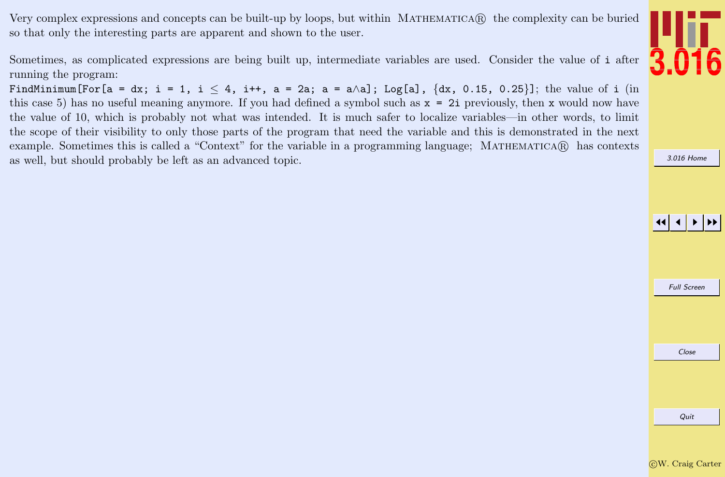Very complex expressions and concepts can be built-up by loops, but within MATHEMATICAR the complexity can be buried so that only the interesting parts are apparent and shown to the user.

Sometimes, as complicated expressions are being built up, intermediate variables are used. Consider the value of i after running the program:

FindMinimum[For[a = dx; i = 1, i  $\leq 4$ , i++, a = 2a; a = a $\triangle$ a]; Log[a],  $\{dx, 0.15, 0.25\}$ ]; the value of i (in this case 5) has no useful meaning anymore. If you had defined a symbol such as x = 2i previously, then x would now have the value of 10, which is probably not what was intended. It is much safer to localize variables—in other words, to limit the scope of their visibility to only those parts of the program that need the variable and this is demonstrated in the next example. Sometimes this is called a "Context" for the variable in a programming language; MATHEMATICA(R) has contexts as well, but should probably be left as an advanced topic.



[3.016 Home](http://pruffle.mit.edu/3.016-2012/)

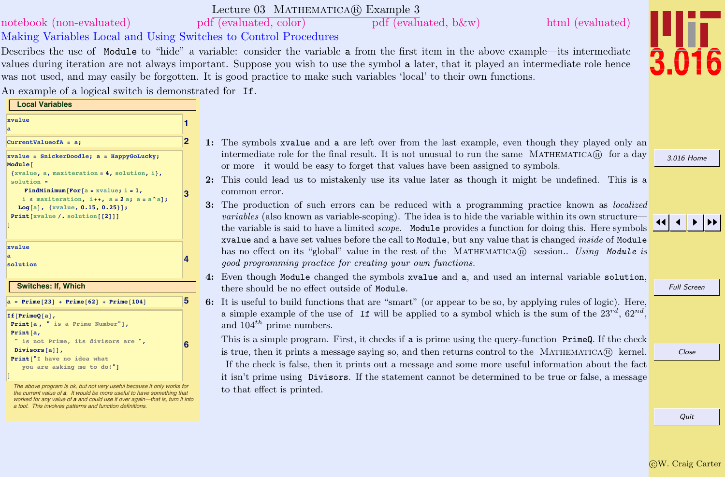Lecture 03 MATHEMATICA(R) Example 3 [notebook \(non-evaluated\)](http://pruffle.mit.edu/3.016-2012/Notebooks/L03/Lecture-03.nb) [pdf \(evaluated, color\)](http://pruffle.mit.edu/3.016-2012/pdf/L03/Lecture-03-3-COL.pdf) [pdf \(evaluated, b&w\)](http://pruffle.mit.edu/3.016-2012/pdf/L03/Lecture-03-3-BW.pdf) [html \(evaluated\)](http://pruffle.mit.edu/3.016-2012/html/Lecture-03/HTMLLinks/index_3.html)

Making Variables Local and Using Switches to Control Procedures

**4**

**6**

Describes the use of Module to "hide" a variable: consider the variable a from the first item in the above example—its intermediate values during iteration are not always important. Suppose you wish to use the symbol a later, that it played an intermediate role hence

was not used, and may easily be forgotten. It is good practice to make such variables 'local' to their own functions.

[3.016 Home](http://pruffle.mit.edu/3.016-2012/)



Full Screen

Close

## An example of a logical switch is demonstrated for If. **Local Variables 1 xvalue a CurrentValueofA = a; 2 3 xvalue = SnickerDoodle; a = HappyGoLucky; Module@ <sup>8</sup>xvalue, a, maxiteration <sup>=</sup> 4, solution, <sup>i</sup><, solution =**  $[For [a = xvalue; i = 1,$ **<sup>i</sup> § maxiteration, <sup>i</sup>++, <sup>a</sup> <sup>=</sup> <sup>2</sup> a; <sup>a</sup> <sup>=</sup> a^aD;**  $Log[a]$ , {xvalue, 0.15, 0.25}]; **Print**  $[xvalue / . . .$  **solution**  $[[2]]$ **D**

**xvalue a solution**

**Switches: If, Which**

### $a = Prime[23] + Prime[62] + Prime[104]$ **If@PrimeQ@aD, Print@a , " is a Prime Number"D, Print@a, " is not Prime, its divisors are ",**  $Divisors[a]]$ , **Print@"I have no idea what you are asking me to do!"<sup>D</sup> D**

[The above program is ok, but not very useful because it only works for](http://pruffle.mit.edu/3.016-2012/html/Lecture-03/HTMLLinks/index_3.html) the current value of **<sup>a</sup>**. It would be more useful to have something that worked for any value of a and could use it over again-that is, turn it into a tool. This involves patterns and function definitions.

- 1: The symbols xvalue and a are left over from the last example, even though they played only an intermediate role for the final result. It is not unusual to run the same MATHEMATICA $\circledR$  for a day or more—it would be easy to forget that values have been assigned to symbols.
- 2: This could lead us to mistakenly use its value later as though it might be undefined. This is a common error.
- 3: The production of such errors can be reduced with a programming practice known as localized variables (also known as variable-scoping). The idea is to hide the variable within its own structure the variable is said to have a limited *scope*. Module provides a function for doing this. Here symbols xvalue and a have set values before the call to Module, but any value that is changed inside of Module has no effect on its "global" value in the rest of the MATHEMATICA® session.. Using Module is good programming practice for creating your own functions.
- 4: Even though Module changed the symbols xvalue and a, and used an internal variable solution, there should be no effect outside of Module.
- 6: It is useful to build functions that are "smart" (or appear to be so, by applying rules of logic). Here, a simple example of the use of If will be applied to a symbol which is the sum of the  $23^{rd}$ ,  $62^{nd}$ , and  $104^{th}$  prime numbers.

This is a simple program. First, it checks if a is prime using the query-function PrimeQ. If the check is true, then it prints a message saying so, and then returns control to the MATHEMATICAR kernel. If the check is false, then it prints out a message and some more useful information about the fact it isn't prime using Divisors. If the statement cannot be determined to be true or false, a message to that effect is printed.

c W. Craig Carter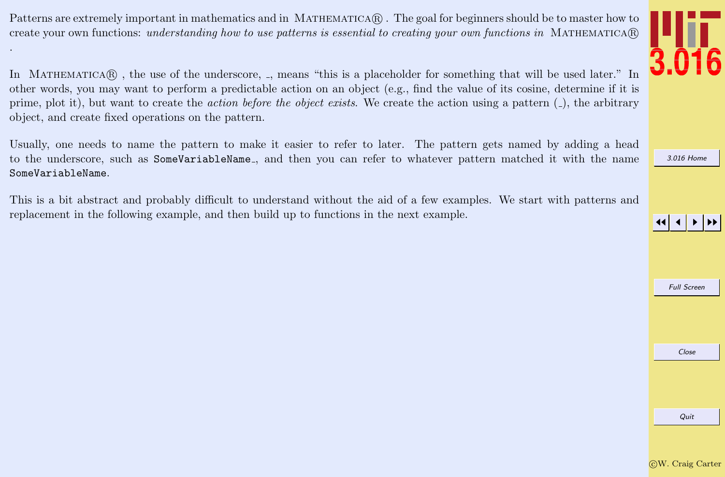Patterns are extremely important in mathematics and in MATHEMATICAR. The goal for beginners should be to master how to create your own functions: understanding how to use patterns is essential to creating your own functions in MATHEMATICA(R)

.

In MATHEMATICAR, the use of the underscore, , means "this is a placeholder for something that will be used later." In other words, you may want to perform a predictable action on an object (e.g., find the value of its cosine, determine if it is prime, plot it), but want to create the *action before the object exists*. We create the action using a pattern  $($ ), the arbitrary object, and create fixed operations on the pattern.

Usually, one needs to name the pattern to make it easier to refer to later. The pattern gets named by adding a head to the underscore, such as SomeVariableName., and then you can refer to whatever pattern matched it with the name SomeVariableName.

This is a bit abstract and probably difficult to understand without the aid of a few examples. We start with patterns and replacement in the following example, and then build up to functions in the next example.



[3.016 Home](http://pruffle.mit.edu/3.016-2012/)

## JJ J I II

Full Screen

Close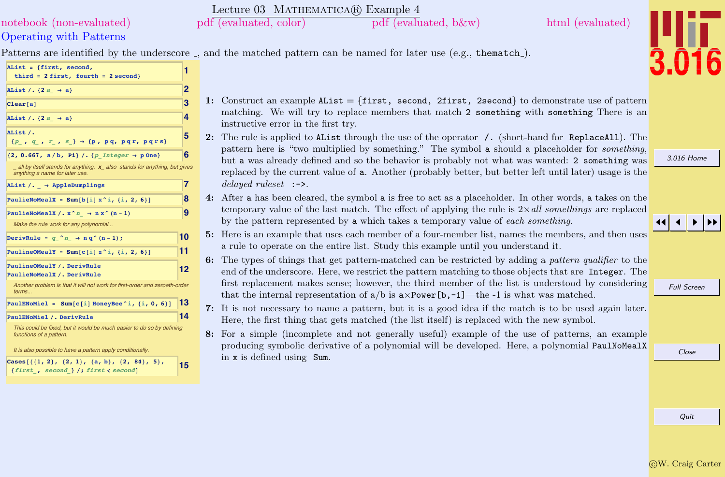## Operating with Patterns [notebook \(non-evaluated\)](http://pruffle.mit.edu/3.016-2012/Notebooks/L03/Lecture-03.nb) [pdf \(evaluated, color\)](http://pruffle.mit.edu/3.016-2012/pdf/L03/Lecture-03-4-COL.pdf) [pdf \(evaluated, b&w\)](http://pruffle.mit.edu/3.016-2012/pdf/L03/Lecture-03-4-BW.pdf) [html \(evaluated\)](http://pruffle.mit.edu/3.016-2012/html/Lecture-03/HTMLLinks/index_4.html)

Patterns are identified by the underscore , and the matched pattern can be named for later use (e.g., thematch).

Lecture 03 MATHEMATICA(R) Example 4

| AList = {first, second,<br>third = $2$ first, fourth = $2$ second}                                         | 1  |
|------------------------------------------------------------------------------------------------------------|----|
| AList /. $\{2a \rightarrow a\}$                                                                            | 2  |
| Clear[a]                                                                                                   | 3  |
| AList /. $\{2a \rightarrow a\}$                                                                            | 4  |
| AList /.<br>${p_ , q_ , r_ , s_ } \rightarrow {p, pq, pqr, pqrs}$                                          | 5  |
| $\{2, 0.667, a/b, Pi\}$ /. $\{p_1\}$ / $\{p_2\}$ + p One }                                                 | 6  |
| all by itself stands for anything. x also stands for anything, but gives<br>anything a name for later use. |    |
| AList /. $\rightarrow$ AppleDumplings                                                                      | 7  |
| PaulieNoMealX = Sum[b[i] $x^i$ , {i, 2, 6}]                                                                | 8  |
| PaulieNoMealX /. $x^n \rightarrow nx^n (n-1)$                                                              | 9  |
| Make the rule work for any polynomial                                                                      |    |
| DerivRule = $q \wedge n \rightarrow n q \wedge (n-1)$ ;                                                    | 10 |
| PaulineOMealY = Sum[c[i] $z^i$ , {i, 2, 6}]                                                                | 11 |
| PaulineOMealY /. DerivRule<br>PaulieNoMealX / . DerivRule                                                  | 12 |
| Another problem is that it will not work for first-order and zeroeth-order<br>terms                        |    |
| PaulENoMiel = $Sum[c[i] \tHoneyBee^i, {i, 0, 6}]$                                                          | 13 |
| PaulENoMiel /. DerivRule                                                                                   | 14 |
| This could be fixed, but it would be much easier to do so by defining<br>functions of a pattern.           |    |
| It is also possible to have a pattern apply conditionally.                                                 |    |
| Cases $[{1, 2}, {2, 1}, {a, b}, {2, 84}, 5],$<br>{first, second } /; first < second]                       | 15 |

- 1: Construct an example AList =  $\{first, second, 2first, 2second\}$  to demonstrate use of pattern matching. We will try to replace members that match 2 something with something There is an instructive error in the first try.
- 2: The rule is applied to AList through the use of the operator /. (short-hand for ReplaceAll). The pattern here is "two multiplied by something." The symbol a should a placeholder for *something*, but a was already defined and so the behavior is probably not what was wanted: 2 something was replaced by the current value of a. Another (probably better, but better left until later) usage is the delayed ruleset :->.
- 4: After a has been cleared, the symbol a is free to act as a placeholder. In other words, a takes on the temporary value of the last match. The effect of applying the rule is  $2\times all$  somethings are replaced by the pattern represented by a which takes a temporary value of each something.
- 5: Here is an example that uses each member of a four-member list, names the members, and then uses a rule to operate on the entire list. Study this example until you understand it.
- 6: The types of things that get pattern-matched can be restricted by adding a pattern qualifier to the end of the underscore. Here, we restrict the pattern matching to those objects that are Integer. The first replacement makes sense; however, the third member of the list is understood by considering that the internal representation of  $a/b$  is  $a \times Power[b,-1]$ —the -1 is what was matched.
- 7: It is not necessary to name a pattern, but it is a good idea if the match is to be used again later. Here, the first thing that gets matched (the list itself) is replaced with the new symbol.
- 8: For a simple (incomplete and not generally useful) example of the use of patterns, an example producing symbolic derivative of a polynomial will be developed. Here, a polynomial PaulNoMealX in x is defined using Sum.

[3.016 Home](http://pruffle.mit.edu/3.016-2012/)

JJ J I II

Full Screen

Close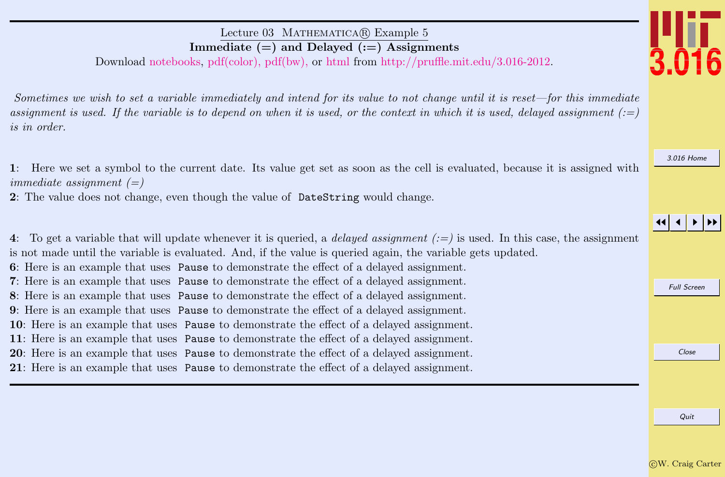## Lecture 03 MATHEMATICA(R) Example 5 Immediate  $(=)$  and Delayed  $(:=)$  Assignments

Download [notebooks,](http://pruffle.mit.edu/3.016-2012/Notebooks/L03/Lecture-03.nb) [pdf\(color\),](http://pruffle.mit.edu/3.016-2012/pdf/L03/Lecture-03-5-COL.pdf) [pdf\(bw\),](http://pruffle.mit.edu/3.016-2012/pdf/L03/Lecture-03-5-BW.pdf) or [html](http://pruffle.mit.edu/3.016-2012/html/Lecture-03/HTMLLinks/index_5.html) from [http://pruffle.mit.edu/3.016-2012.](http://pruffle.mit.edu/3.016-2012)

Sometimes we wish to set a variable immediately and intend for its value to not change until it is reset—for this immediate assignment is used. If the variable is to depend on when it is used, or the context in which it is used, delayed assignment  $( := )$ is in order.

1: Here we set a symbol to the current date. Its value get set as soon as the cell is evaluated, because it is assigned with immediate assignment  $(=)$ 

2: The value does not change, even though the value of DateString would change.

Full Screen Close 4: To get a variable that will update whenever it is queried, a *delayed assignment*  $(:=)$  is used. In this case, the assignment is not made until the variable is evaluated. And, if the value is queried again, the variable gets updated. : Here is an example that uses Pause to demonstrate the effect of a delayed assignment. : Here is an example that uses Pause to demonstrate the effect of a delayed assignment. : Here is an example that uses Pause to demonstrate the effect of a delayed assignment. : Here is an example that uses Pause to demonstrate the effect of a delayed assignment. : Here is an example that uses Pause to demonstrate the effect of a delayed assignment. : Here is an example that uses Pause to demonstrate the effect of a delayed assignment. : Here is an example that uses Pause to demonstrate the effect of a delayed assignment. : Here is an example that uses Pause to demonstrate the effect of a delayed assignment.

[3.016 Home](http://pruffle.mit.edu/3.016-2012/)

JJ J I II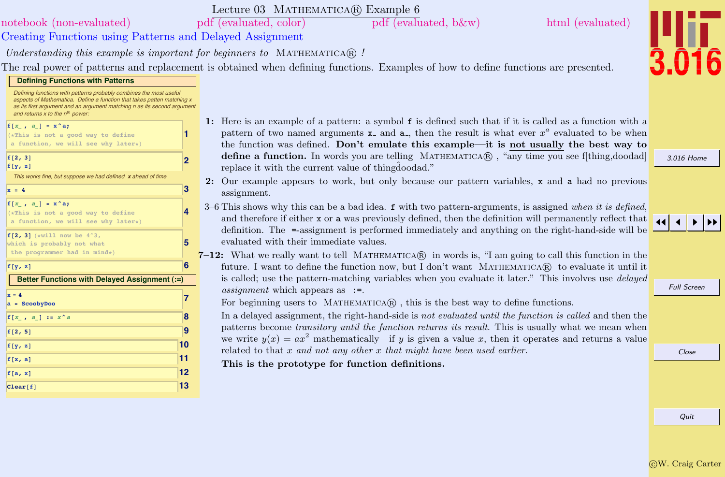Quit

| Defining functions with patterns probably combines the most useful<br>aspects of Mathematica. Define a function that takes patten matching x<br>as its first argument and an argument matching n as its second argument<br>and returns $x$ to the $n^{th}$ power: |                         |                                           |
|-------------------------------------------------------------------------------------------------------------------------------------------------------------------------------------------------------------------------------------------------------------------|-------------------------|-------------------------------------------|
| $f[x , a] = x^a;$<br>(*This is not a good way to define<br>a function, we will see why later*)                                                                                                                                                                    | 1                       | F<br>1:<br>ľ                              |
| f[2, 3]<br>f[y, z]                                                                                                                                                                                                                                                | $\overline{\mathbf{2}}$ | t<br>$\epsilon$<br>r                      |
| This works fine, but suppose we had defined x ahead of time                                                                                                                                                                                                       |                         | 2:<br>(                                   |
| $x = 4$                                                                                                                                                                                                                                                           | 3                       | a                                         |
| $f[x, a] = x^a;$<br>(*This is not a good way to define<br>a function, we will see why later*)                                                                                                                                                                     | 4                       | $3 - 67$<br>a                             |
| f[2, 3] $(*will now be 4^3,$<br>which is probably not what<br>the programmer had in mind*)                                                                                                                                                                        | 5                       | $\overline{C}$<br>$\epsilon$<br>$7 - 12:$ |
| f[y, z]                                                                                                                                                                                                                                                           | 6                       | f                                         |
| Better Functions with Delayed Assignment (:=)                                                                                                                                                                                                                     |                         | i:                                        |
| $x = 4$<br>$a = ScodyDoo$                                                                                                                                                                                                                                         | 7                       | $\epsilon$<br>F                           |
| $f[x , a] := x^a$                                                                                                                                                                                                                                                 | 8                       | T                                         |
| f[2, 5]                                                                                                                                                                                                                                                           | 9                       | ľ                                         |
| f[y, z]                                                                                                                                                                                                                                                           | 10                      | V<br>r                                    |
| f[x, a]                                                                                                                                                                                                                                                           | 11                      | ŋ                                         |
| f[a, x]                                                                                                                                                                                                                                                           | 12                      |                                           |
| Clear[f]                                                                                                                                                                                                                                                          | 13                      |                                           |

**Defining Functions with Patterns**

## Lecture 03 MATHEMATICA(R) Example 6

[notebook \(non-evaluated\)](http://pruffle.mit.edu/3.016-2012/Notebooks/L03/Lecture-03.nb) [pdf \(evaluated, color\)](http://pruffle.mit.edu/3.016-2012/pdf/L03/Lecture-03-6-COL.pdf) [pdf \(evaluated, b&w\)](http://pruffle.mit.edu/3.016-2012/pdf/L03/Lecture-03-6-BW.pdf) [html \(evaluated\)](http://pruffle.mit.edu/3.016-2012/html/Lecture-03/HTMLLinks/index_6.html)

Creating Functions using Patterns and Delayed Assignment

Understanding this example is important for beginners to MATHEMATICA $\mathbb{R}$ !

The real power of patterns and replacement is obtained when defining functions. Examples of how to define functions are presented.

Here is an example of a pattern: a symbol  $f$  is defined such that if it is called as a function with a pattern of two named arguments  $x$  and  $a$ , then the result is what ever  $x^a$  evaluated to be when the function was defined. Don't emulate this example—it is not usually the best way to **define a function.** In words you are telling MATHEMATICA $\circledR$ , "any time you see f[thing,doodad] replace it with the current value of thingdoodad."

- Our example appears to work, but only because our pattern variables,  $x$  and  $a$  had no previous assignment.
- This shows why this can be a bad idea.  $f$  with two pattern-arguments, is assigned when it is defined, and therefore if either x or a was previously defined, then the definition will permanently reflect that definition. The =-assignment is performed immediately and anything on the right-hand-side will be evaluated with their immediate values.

What we really want to tell MATHEMATICA $\circledR$  in words is, "I am going to call this function in the iuture. I want to define the function now, but I don't want MATHEMATICA® to evaluate it until it is called; use the pattern-matching variables when you evaluate it later." This involves use *delayed* assignment which appears as :=.

For beginning users to  $MATHEMATICA$ , this is the best way to define functions.

In a delayed assignment, the right-hand-side is not evaluated until the function is called and then the patterns become transitory until the function returns its result. This is usually what we mean when we write  $y(x) = ax^2$  mathematically—if y is given a value x, then it operates and returns a value related to that  $x$  and not any other  $x$  that might have been used earlier.

This is the prototype for function definitions.

Full Screen



## [3.016 Home](http://pruffle.mit.edu/3.016-2012/)



Close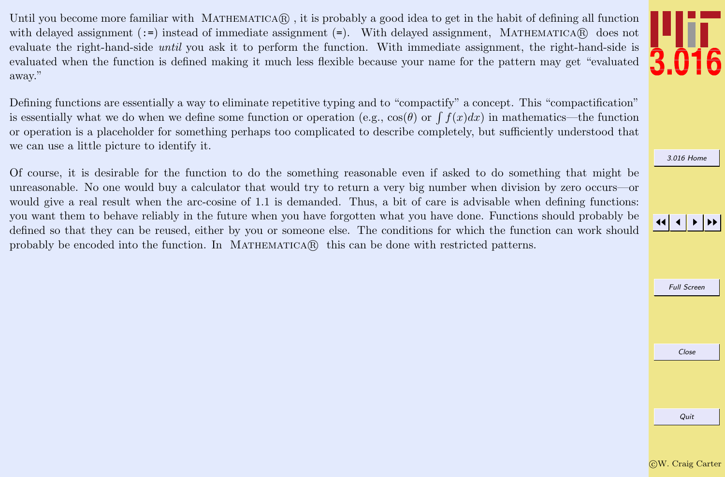Until you become more familiar with MATHEMATICA $\hat{R}$ , it is probably a good idea to get in the habit of defining all function with delayed assignment  $()=$  instead of immediate assignment  $(=)$ . With delayed assignment, MATHEMATICAR does not evaluate the right-hand-side until you ask it to perform the function. With immediate assignment, the right-hand-side is evaluated when the function is defined making it much less flexible because your name for the pattern may get "evaluated away."

Defining functions are essentially a way to eliminate repetitive typing and to "compactify" a concept. This "compactification" is essentially what we do when we define some function or operation (e.g.,  $cos(\theta)$  or  $\int f(x)dx$ ) in mathematics—the function or operation is a placeholder for something perhaps too complicated to describe completely, but sufficiently understood that we can use a little picture to identify it.

Of course, it is desirable for the function to do the something reasonable even if asked to do something that might be unreasonable. No one would buy a calculator that would try to return a very big number when division by zero occurs—or would give a real result when the arc-cosine of 1.1 is demanded. Thus, a bit of care is advisable when defining functions: you want them to behave reliably in the future when you have forgotten what you have done. Functions should probably be defined so that they can be reused, either by you or someone else. The conditions for which the function can work should probably be encoded into the function. In MATHEMATICA $\mathbb{R}$  this can be done with restricted patterns.





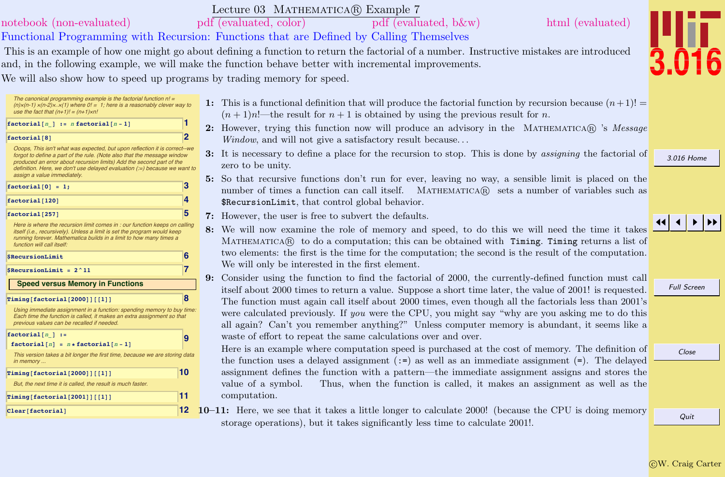## Lecture 03 MATHEMATICA(R) Example 7 Functional Programming with Recursion: Functions that are Defined by Calling Themselves [notebook \(non-evaluated\)](http://pruffle.mit.edu/3.016-2012/Notebooks/L03/Lecture-03.nb) [pdf \(evaluated, color\)](http://pruffle.mit.edu/3.016-2012/pdf/L03/Lecture-03-7-COL.pdf) [pdf \(evaluated, b&w\)](http://pruffle.mit.edu/3.016-2012/pdf/L03/Lecture-03-7-BW.pdf) [html \(evaluated\)](http://pruffle.mit.edu/3.016-2012/html/Lecture-03/HTMLLinks/index_7.html) This is an example of how one might go about defining a function to return the factorial of a number. Instructive mistakes are introduced and, in the following example, we will make the function behave better with incremental improvements. We will also show how to speed up programs by trading memory for speed.

The canonical programming example is the factorial function  $n! =$  $(n)x(n-1) x(n-2)x$   $\therefore$  x(1) where  $0! = 1$ ; here is a reasonably clever way to use the fact that  $(n+1)! = (n+1)xn!$ 



Ooops, This isn't what was expected, but upon reflection it is correct--we forgot to define a part of the rule. (Note also that the message window produced an error about recursion limits) Add the second part of the definition. Here, we don't use delayed evaluation (:=) because we want to assign a value immediately.

| $factorial[0] = 1;$ |  |
|---------------------|--|
| factorial [120]     |  |
| factorial [257]     |  |

Here is where the recursion limit comes in : our function keeps on calling itself (i.e., recursively). Unless a limit is set the program would keep running forever. Mathematica builds in a limit to how many times a function will call itself:

| SRecursionLimit                         | 6 |
|-----------------------------------------|---|
| SRecursionLimit = $2^{\wedge}11$        |   |
| <b>Speed versus Memory in Functions</b> |   |
| Timing [factorial [2000]] [[1]]         |   |

[Using immediate assignment in a function: spending memory to buy time:](http://pruffle.mit.edu/3.016-2012/html/Lecture-03/HTMLLinks/index_7.html) Each time the function is called, it makes an extra assignment so that previous values can be recalled if needed.

| $factorial[n] :=$<br>$factorial[n] = n * factorial[n-1]$                                 |            |
|------------------------------------------------------------------------------------------|------------|
| This version takes a bit longer the first time, because we are storing data<br>in memory |            |
| Timinq[factorial[2000][[1]]]                                                             | $\vert$ 10 |

But, the next time it is called, the result is much faster.

**11 1** 

 $\text{Clear}$ **[factorial]** 

- 1: This is a functional definition that will produce the factorial function by recursion because  $(n+1)!$  $(n+1)n!$ —the result for  $n+1$  is obtained by using the previous result for n.
- 2: However, trying this function now will produce an advisory in the MATHEMATICA $\mathbb{R}$  's Message Window, and will not give a satisfactory result because...
- 3: It is necessary to define a place for the recursion to stop. This is done by assigning the factorial of zero to be unity.
- 5: So that recursive functions don't run for ever, leaving no way, a sensible limit is placed on the number of times a function can call itself. MATHEMATICA(R) sets a number of variables such as \$RecursionLimit, that control global behavior.
- 7: However, the user is free to subvert the defaults.
- 8: We will now examine the role of memory and speed, to do this we will need the time it takes MATHEMATICAR to do a computation; this can be obtained with Timing. Timing returns a list of two elements: the first is the time for the computation; the second is the result of the computation. We will only be interested in the first element.
- 9: Consider using the function to find the factorial of 2000, the currently-defined function must call itself about 2000 times to return a value. Suppose a short time later, the value of 2001! is requested. The function must again call itself about 2000 times, even though all the factorials less than 2001's were calculated previously. If *you* were the CPU, you might say "why are you asking me to do this all again? Can't you remember anything?" Unless computer memory is abundant, it seems like a waste of effort to repeat the same calculations over and over.

Here is an example where computation speed is purchased at the cost of memory. The definition of the function uses a delayed assignment  $(:=)$  as well as an immediate assignment  $(=)$ . The delayed assignment defines the function with a pattern—the immediate assignment assigns and stores the value of a symbol. Thus, when the function is called, it makes an assignment as well as the computation.

10–11: Here, we see that it takes a little longer to calculate 2000! (because the CPU is doing memory storage operations), but it takes significantly less time to calculate 2001!.

[3.016 Home](http://pruffle.mit.edu/3.016-2012/)

JJ J I II

Full Screen

Close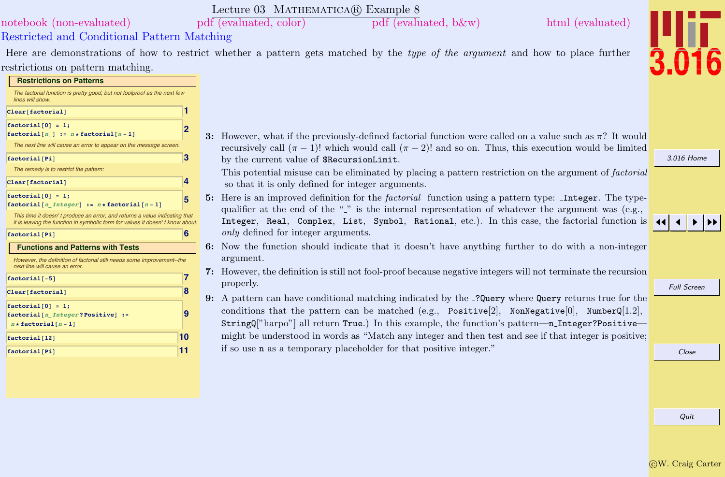|                                                                                                                                                             | Lecture 03 MATHEMATICA(R) Example 8                                                                                            |                    |
|-------------------------------------------------------------------------------------------------------------------------------------------------------------|--------------------------------------------------------------------------------------------------------------------------------|--------------------|
| notebook (non-evaluated)                                                                                                                                    | $pdf$ (evaluated, color)<br>html (evaluated)<br>pdf (evaluated, b&w)                                                           |                    |
| Restricted and Conditional Pattern Matching                                                                                                                 |                                                                                                                                |                    |
|                                                                                                                                                             | Here are demonstrations of how to restrict whether a pattern gets matched by the type of the argument and how to place further |                    |
| restrictions on pattern matching.                                                                                                                           |                                                                                                                                |                    |
| <b>Restrictions on Patterns</b>                                                                                                                             |                                                                                                                                |                    |
| The factorial function is pretty good, but not foolproof as the next few<br>lines will show.                                                                |                                                                                                                                |                    |
| Clear[factorial]                                                                                                                                            |                                                                                                                                |                    |
| $factorial[0] = 1;$                                                                                                                                         |                                                                                                                                |                    |
| $factorial[n] := n * factorial[n-1]$                                                                                                                        | 3: However, what if the previously-defined factorial function were called on a value such as $\pi$ ? It would                  |                    |
| The next line will cause an error to appear on the message screen                                                                                           | recursively call $(\pi - 1)!$ which would call $(\pi - 2)!$ and so on. Thus, this execution would be limited                   |                    |
| 3<br>factorial [Pi]                                                                                                                                         | by the current value of \$RecursionLimit.                                                                                      | 3.016 Home         |
| The remedy is to restrict the pattern:                                                                                                                      | This potential misuse can be eliminated by placing a pattern restriction on the argument of factorial                          |                    |
| 4<br>Clear[factorial]                                                                                                                                       | so that it is only defined for integer arguments.                                                                              |                    |
| $factorial[0] = 1;$<br>5                                                                                                                                    | 5: Here is an improved definition for the <i>factorial</i> function using a pattern type: <b>Integer</b> . The type-           |                    |
| $factorial[n_Integer] := n * factorial[n-1]$                                                                                                                | qualifier at the end of the "" is the internal representation of whatever the argument was (e.g.,                              |                    |
| This time it doesn't produce an error, and returns a value indicating that<br>it is leaving the function in symbolic form for values it doesn't know about. | Integer, Real, Complex, List, Symbol, Rational, etc.). In this case, the factorial function is                                 |                    |
| 6<br>factorial[Pi]                                                                                                                                          | <i>only</i> defined for integer arguments.                                                                                     |                    |
| <b>Functions and Patterns with Tests</b>                                                                                                                    | 6: Now the function should indicate that it doesn't have anything further to do with a non-integer                             |                    |
| However, the definition of factorial still needs some improvement--the                                                                                      | argument.                                                                                                                      |                    |
| next line will cause an error.                                                                                                                              | 7: However, the definition is still not fool-proof because negative integers will not terminate the recursion                  |                    |
| 7<br>$factorial[-5]$                                                                                                                                        | properly.                                                                                                                      | <b>Full Screen</b> |
| 8<br>Clear[factorial]                                                                                                                                       | 9: A pattern can have conditional matching indicated by the _? Query where Query returns true for the                          |                    |
| $factorial[0] = 1;$                                                                                                                                         | conditions that the pattern can be matched (e.g., Positive[2], NonNegative[0], NumberQ[1.2],                                   |                    |
| 9<br>factorial [n Integer? Positive] :=<br>$n * factorial[n - 1]$                                                                                           | StringQ["harpo"] all return True.) In this example, the function's pattern---n_Integer?Positive-                               |                    |
| 10                                                                                                                                                          | might be understood in words as "Match any integer and then test and see if that integer is positive;                          |                    |
| factorial [12]                                                                                                                                              | if so use <b>n</b> as a temporary placeholder for that positive integer."                                                      |                    |
| 11<br>factorial[Pi]                                                                                                                                         |                                                                                                                                | Close              |
|                                                                                                                                                             |                                                                                                                                |                    |
|                                                                                                                                                             |                                                                                                                                |                    |
|                                                                                                                                                             |                                                                                                                                |                    |
|                                                                                                                                                             |                                                                                                                                |                    |
|                                                                                                                                                             |                                                                                                                                | Quit               |
|                                                                                                                                                             |                                                                                                                                |                    |
|                                                                                                                                                             |                                                                                                                                |                    |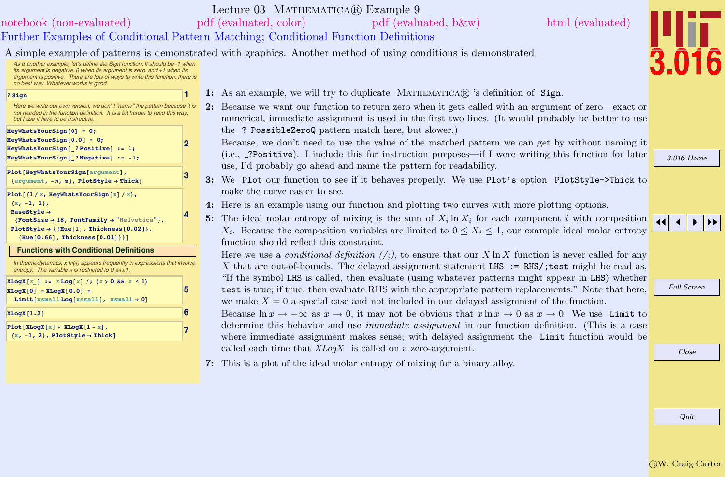|                                                                                                                                                                                                                                                                                   | Lecture 03 MATHEMATICA(R) Example 9                                                                                                                                                                                                                                |                    |
|-----------------------------------------------------------------------------------------------------------------------------------------------------------------------------------------------------------------------------------------------------------------------------------|--------------------------------------------------------------------------------------------------------------------------------------------------------------------------------------------------------------------------------------------------------------------|--------------------|
| notebook (non-evaluated)                                                                                                                                                                                                                                                          | pdf (evaluated, color)<br>pdf (evaluated, b&w)<br>html (evaluated)                                                                                                                                                                                                 |                    |
|                                                                                                                                                                                                                                                                                   | Further Examples of Conditional Pattern Matching; Conditional Function Definitions                                                                                                                                                                                 |                    |
|                                                                                                                                                                                                                                                                                   | A simple example of patterns is demonstrated with graphics. Another method of using conditions is demonstrated.                                                                                                                                                    |                    |
| As a another example, let's define the Sign function. It should be -1 when<br>its argument is negative, $0$ when its argument is zero, and $+1$ when its<br>argument is positive. There are lots of ways to write this function, there is<br>no best way. Whatever works is good. |                                                                                                                                                                                                                                                                    |                    |
| ? Sign                                                                                                                                                                                                                                                                            | 1: As an example, we will try to duplicate MATHEMATICA $\mathbb{R}$ 's definition of Sign.                                                                                                                                                                         |                    |
| Here we write our own version, we don't "name" the pattern because it is<br>not needed in the function definition. It is a bit harder to read this way.<br>but I use it here to be instructive.                                                                                   | 2: Because we want our function to return zero when it gets called with an argument of zero—exact or<br>numerical, immediate assignment is used in the first two lines. (It would probably be better to use                                                        |                    |
| $HeyWhatsYourSign[0] = 0;$<br>$HeyWhatsYourSign[0.0] = 0;$                                                                                                                                                                                                                        | the _? PossibleZeroQ pattern match here, but slower.)                                                                                                                                                                                                              |                    |
| 12<br>HeyWhatsYourSign[ ?Positive] := 1;<br>HeyWhatsYourSign[ ?Negative] := -1;                                                                                                                                                                                                   | Because, we don't need to use the value of the matched pattern we can get by without naming it<br>(i.e., _?Positive). I include this for instruction purposes—if I were writing this function for later                                                            | 3.016 Home         |
| Plot[HeyWhatsYourSign[argument],<br>3<br>{argument, $-\pi$ , e}, PlotStyle $\rightarrow$ Thick]                                                                                                                                                                                   | use, I'd probably go ahead and name the pattern for readability.<br>3: We Plot our function to see if it behaves properly. We use Plot's option PlotStyle->Thick to                                                                                                |                    |
| Plot $[{1 / x, HeyWhatsYourSign[x]/x}],$                                                                                                                                                                                                                                          | make the curve easier to see.                                                                                                                                                                                                                                      |                    |
| $\{x, -1, 1\},\$<br>BaseStyle →                                                                                                                                                                                                                                                   | 4: Here is an example using our function and plotting two curves with more plotting options.                                                                                                                                                                       |                    |
| {FontSize $\rightarrow$ 18, FontFamily $\rightarrow$ "Helvetica"},<br>PlotStyle $\rightarrow$ {{Hue[1], Thickness[0.02]},<br>${Hue[0.66], Thickness[0.01]}\}$                                                                                                                     | 5: The ideal molar entropy of mixing is the sum of $X_i \ln X_i$ for each component i with composition<br>$X_i$ . Because the composition variables are limited to $0 \le X_i \le 1$ , our example ideal molar entropy<br>function should reflect this constraint. |                    |
| <b>Functions with Conditional Definitions</b>                                                                                                                                                                                                                                     | Here we use a <i>conditional definition</i> $(\cdot)$ , to ensure that our X ln X function is never called for any                                                                                                                                                 |                    |
| In thermodynamics, $x \ln(x)$ appears frequently in expressions that involve<br>entropy. The variable x is restricted to $0 \le x \le 1$ .                                                                                                                                        | X that are out-of-bounds. The delayed assignment statement LHS := RHS/; test might be read as,                                                                                                                                                                     |                    |
| $XLog X[x] := XLog[x]/; (x > 0 \& x \le 1)$<br>5<br>$[XLogX[0] = XLogX[0.0] =$                                                                                                                                                                                                    | "If the symbol LHS is called, then evaluate (using whatever patterns might appear in LHS) whether<br>test is true; if true, then evaluate RHS with the appropriate pattern replacements." Note that here,                                                          | <b>Full Screen</b> |
| Limit [xsmall Log [xsmall], $x$ small $\rightarrow$ 0]                                                                                                                                                                                                                            | we make $X = 0$ a special case and not included in our delayed assignment of the function.                                                                                                                                                                         |                    |
| 6<br>XLogX[1.2]                                                                                                                                                                                                                                                                   | Because $\ln x \to -\infty$ as $x \to 0$ , it may not be obvious that $x \ln x \to 0$ as $x \to 0$ . We use Limit to                                                                                                                                               |                    |
| $Plot[XLogX[x] + XLogX[1 - x],$<br>$\{x, -1, 2\}$ , PlotStyle $\rightarrow$ Thick]                                                                                                                                                                                                | determine this behavior and use <i>immediate assignment</i> in our function definition. (This is a case<br>where immediate assignment makes sense; with delayed assignment the Limit function would be                                                             |                    |
|                                                                                                                                                                                                                                                                                   | called each time that $XLog X$ is called on a zero-argument.                                                                                                                                                                                                       | Close              |
|                                                                                                                                                                                                                                                                                   | 7: This is a plot of the ideal molar entropy of mixing for a binary alloy.                                                                                                                                                                                         |                    |
|                                                                                                                                                                                                                                                                                   |                                                                                                                                                                                                                                                                    |                    |
|                                                                                                                                                                                                                                                                                   |                                                                                                                                                                                                                                                                    |                    |
|                                                                                                                                                                                                                                                                                   |                                                                                                                                                                                                                                                                    |                    |
|                                                                                                                                                                                                                                                                                   |                                                                                                                                                                                                                                                                    | Quit               |

 $\overline{\text{C}}\text{W}$ . Craig Carter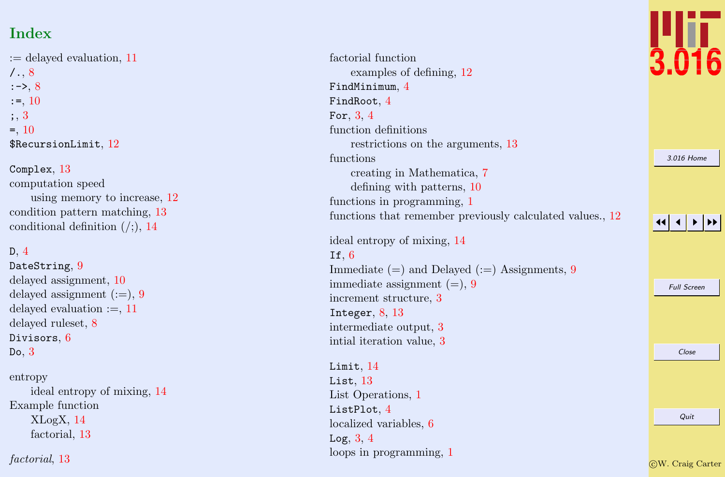# Index

:= delayed evaluation, [11](#page-0-0)  $/., 8$  $/., 8$  $:->, 8$  $:->, 8$  $:=, 10$  $:=, 10$ ; , [3](#page-0-0) = , [10](#page-0-0)  $\texttt{\$RecursionLimit},\,12$  $\texttt{\$RecursionLimit},\,12$ 

## Complex , [13](#page-0-0)

computation speed using memory to increase, [12](#page-0-0) condition pattern matching, [13](#page-0-0) conditional definition  $\left(\frac{1}{2}, 14\right)$  $\left(\frac{1}{2}, 14\right)$  $\left(\frac{1}{2}, 14\right)$ 

## D, [4](#page-0-0)

 $\mathsf{DateString},\,9$  $\mathsf{DateString},\,9$ delayed assignment, [10](#page-0-0) delayed assignment (:=), [9](#page-0-0) delayed evaluation  $:=$ , [11](#page-0-0) delayed ruleset, [8](#page-0-0) Divisors,  $6$ Do , [3](#page-0-0)

## entropy

ideal entropy of mixing, [14](#page-0-0) Example function XLogX, [14](#page-0-0) factorial, [13](#page-0-0)

factorial, [13](#page-0-0)

factorial function examples of defining, [12](#page-0-0)  $Find Minimum, 4$  $Find Minimum, 4$  $FindRoot, 4$  $FindRoot, 4$ For,  $3, 4$  $3, 4$  $3, 4$ function definitions restrictions on the arguments, [13](#page-0-0) functions creating in Mathematica, [7](#page-0-0) defining with patterns, [10](#page-0-0) functions in programming, [1](#page-0-0) functions that remember previously calculated values., [12](#page-0-0)

ideal entropy of mixing, [14](#page-0-0) If,  $6$ Immediate (=) and Delayed (:=) Assignments, [9](#page-0-0) immediate assignment  $(=)$ , [9](#page-0-0) increment structure, [3](#page-0-0) Integer,  $8, 13$  $8, 13$  $8, 13$ intermediate output, [3](#page-0-0) intial iteration value, [3](#page-0-0)

## $\tt Limit, 14$  $\tt Limit, 14$

List,  $13\,$  $13\,$ List Operations, [1](#page-0-0)  ${\tt ListPlot},\,4$  ${\tt ListPlot},\,4$ localized variables, [6](#page-0-0) Log,  $3, 4$  $3, 4$  $3, 4$ loops in programming, [1](#page-0-0)



[3.016 Home](http://pruffle.mit.edu/3.016-2012/)

### 11  $\blacktriangleleft$ I II

Full Screen

Close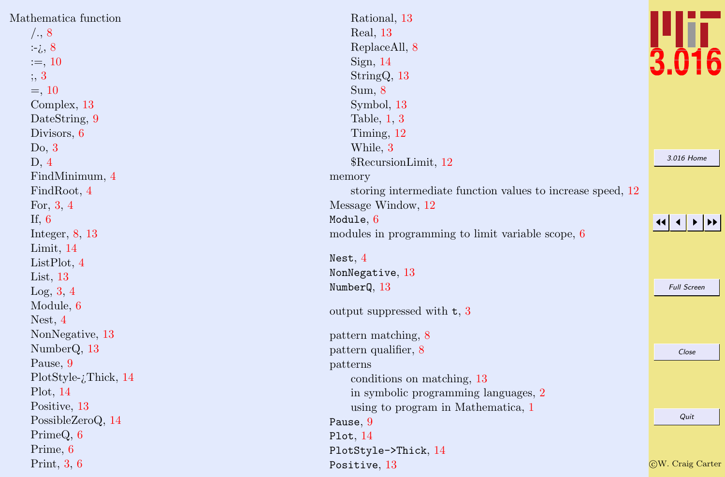| Mathematica function     | Rational, 13                                               |                          |
|--------------------------|------------------------------------------------------------|--------------------------|
| /., 8                    | Real, 13                                                   |                          |
| $\div i$ , 8             | ReplaceAll, 8                                              |                          |
| $:=$ , 10                | Sign, $14$                                                 |                          |
| ; 3                      | StringQ, 13                                                |                          |
| $=, 10$                  | Sum, 8                                                     |                          |
| Complex, 13              | Symbol, 13                                                 |                          |
| DateString, 9            | Table, $1, 3$                                              |                          |
| Divisors, 6              | Timing, 12                                                 |                          |
| Do, 3                    | While, 3                                                   |                          |
| D, 4                     | \$RecursionLimit, 12                                       | 3.016 Home               |
| FindMinimum, 4           | memory                                                     |                          |
| FindRoot, 4              | storing intermediate function values to increase speed, 12 |                          |
| For, $3, 4$              | Message Window, 12                                         |                          |
| If, $6$                  | Module, 6                                                  |                          |
| Integer, $8, 13$         | modules in programming to limit variable scope, 6          |                          |
| Limit, 14                |                                                            |                          |
| List $Plot, 4$           | Nest, $4$                                                  |                          |
| List, $13$               | NonNegative, 13                                            |                          |
| Log, 3, 4                | NumberQ, 13                                                | <b>Full Screen</b>       |
| Module, 6                | output suppressed with $t, 3$                              |                          |
| Nest, $4$                |                                                            |                          |
| NonNegative, 13          | pattern matching, 8                                        |                          |
| NumberQ, 13              | pattern qualifier, 8                                       | Close                    |
| Pause, 9                 | patterns                                                   |                          |
| PlotStyle- $i$ Thick, 14 | conditions on matching, 13                                 |                          |
| Plot, 14                 | in symbolic programming languages, 2                       |                          |
| Positive, 13             | using to program in Mathematica, 1                         |                          |
| PossibleZeroQ, 14        | Pause, 9                                                   | Quit                     |
| PrimeQ, 6                | Plot, $14$                                                 |                          |
| Prime, 6                 | PlotStyle->Thick, 14                                       |                          |
| Print, $3, 6$            | Positive, 13                                               | <b>CW</b> . Craig Carter |